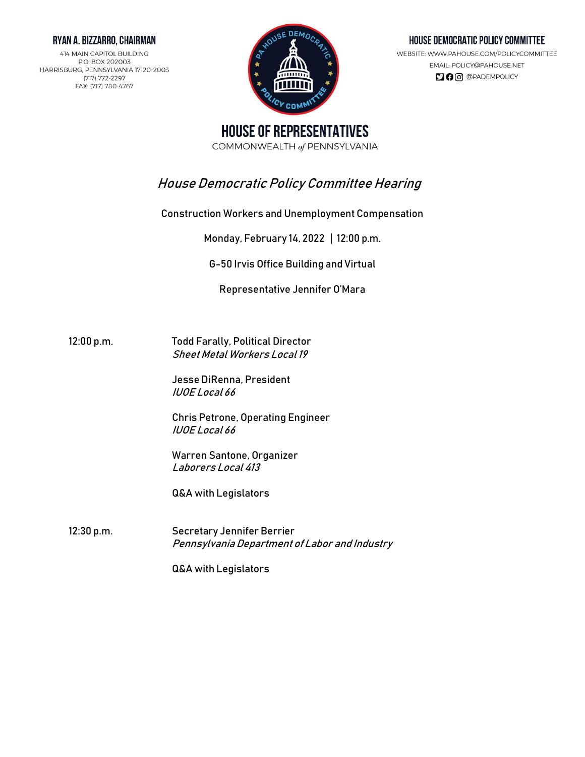#### RYAN A. BIZZARRO, CHAIRMAN

414 MAIN CAPITOL BUILDING P.O. BOX 202003 HARRISBURG, PENNSYLVANIA 17120-2003 (717) 772-2297 FAX: (717) 780-4767



#### HOUSE DEMOCRATIC POLICY COMMITTEE

WEBSITE: WWW.PAHOUSE.COM/POLICYCOMMITTEE EMAIL: POLICY@PAHOUSE.NET **DO** @PADEMPOLICY

**HOUSE OF REPRESENTATIVES** COMMONWEALTH of PENNSYLVANIA

# House Democratic Policy Committee Hearing

Construction Workers and Unemployment Compensation

Monday, February 14, 2022 | 12:00 p.m.

G-50 Irvis Office Building and Virtual

Representative Jennifer O'Mara

12:00 p.m. Todd Farally, Political Director Sheet Metal Workers Local 19

> Jesse DiRenna, President IUOE Local 66

Chris Petrone, Operating Engineer IUOE Local 66

Warren Santone, Organizer Laborers Local 413

Q&A with Legislators

12:30 p.m. Secretary Jennifer Berrier Pennsylvania Department of Labor and Industry

Q&A with Legislators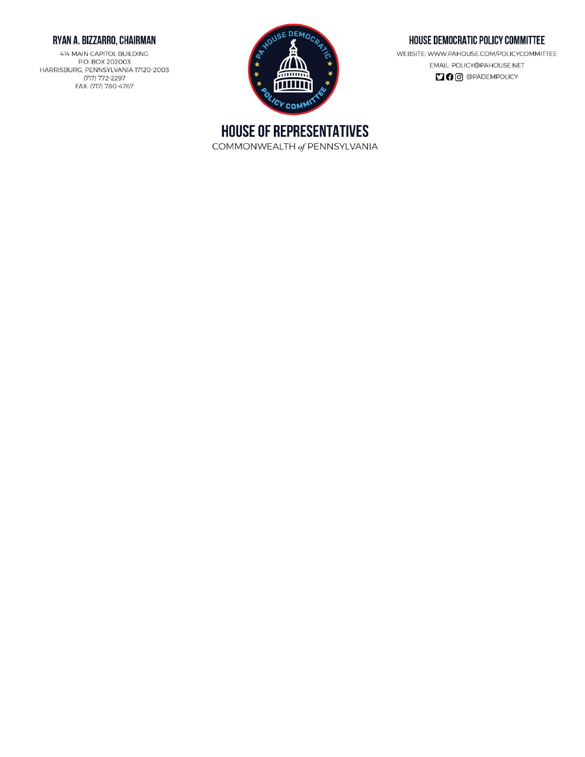## RYAN A. BIZZARRO, CHAIRMAN

414 MAIN CAPITOL BUILDING P.O. BOX 202003 HARRISBURG, PENNSYLVANIA 17120-2003 (717) 772-2297 FAX: (717) 780-4767



#### HOUSE DEMOCRATIC POLICY COMMITTEE

WEBSITE: WWW.PAHOUSE.COM/POLICYCOMMITTEE EMAIL: POLICY@PAHOUSE.NET **DO** @PADEMPOLICY

**HOUSE OF REPRESENTATIVES** COMMONWEALTH of PENNSYLVANIA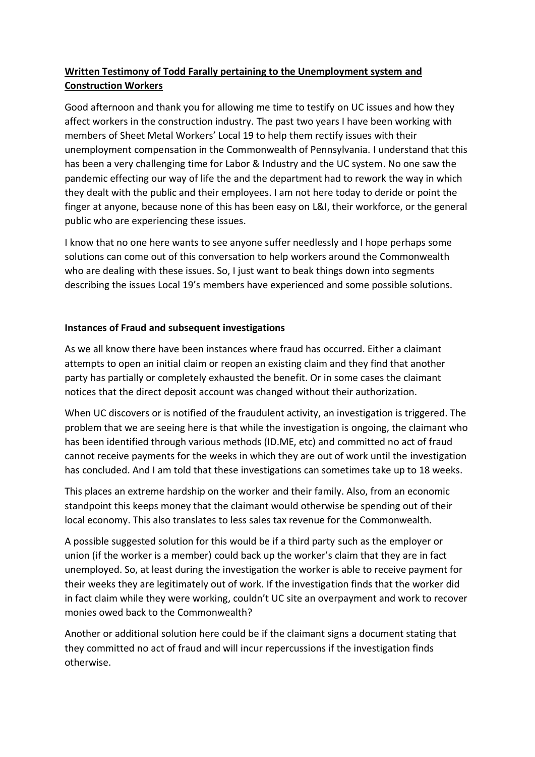## **Written Testimony of Todd Farally pertaining to the Unemployment system and Construction Workers**

Good afternoon and thank you for allowing me time to testify on UC issues and how they affect workers in the construction industry. The past two years I have been working with members of Sheet Metal Workers' Local 19 to help them rectify issues with their unemployment compensation in the Commonwealth of Pennsylvania. I understand that this has been a very challenging time for Labor & Industry and the UC system. No one saw the pandemic effecting our way of life the and the department had to rework the way in which they dealt with the public and their employees. I am not here today to deride or point the finger at anyone, because none of this has been easy on L&I, their workforce, or the general public who are experiencing these issues.

I know that no one here wants to see anyone suffer needlessly and I hope perhaps some solutions can come out of this conversation to help workers around the Commonwealth who are dealing with these issues. So, I just want to beak things down into segments describing the issues Local 19's members have experienced and some possible solutions.

### **Instances of Fraud and subsequent investigations**

As we all know there have been instances where fraud has occurred. Either a claimant attempts to open an initial claim or reopen an existing claim and they find that another party has partially or completely exhausted the benefit. Or in some cases the claimant notices that the direct deposit account was changed without their authorization.

When UC discovers or is notified of the fraudulent activity, an investigation is triggered. The problem that we are seeing here is that while the investigation is ongoing, the claimant who has been identified through various methods (ID.ME, etc) and committed no act of fraud cannot receive payments for the weeks in which they are out of work until the investigation has concluded. And I am told that these investigations can sometimes take up to 18 weeks.

This places an extreme hardship on the worker and their family. Also, from an economic standpoint this keeps money that the claimant would otherwise be spending out of their local economy. This also translates to less sales tax revenue for the Commonwealth.

A possible suggested solution for this would be if a third party such as the employer or union (if the worker is a member) could back up the worker's claim that they are in fact unemployed. So, at least during the investigation the worker is able to receive payment for their weeks they are legitimately out of work. If the investigation finds that the worker did in fact claim while they were working, couldn't UC site an overpayment and work to recover monies owed back to the Commonwealth?

Another or additional solution here could be if the claimant signs a document stating that they committed no act of fraud and will incur repercussions if the investigation finds otherwise.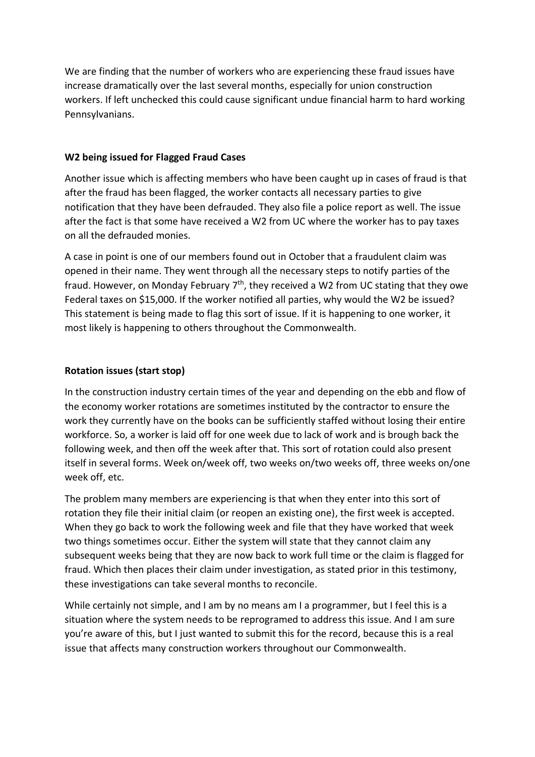We are finding that the number of workers who are experiencing these fraud issues have increase dramatically over the last several months, especially for union construction workers. If left unchecked this could cause significant undue financial harm to hard working Pennsylvanians.

### **W2 being issued for Flagged Fraud Cases**

Another issue which is affecting members who have been caught up in cases of fraud is that after the fraud has been flagged, the worker contacts all necessary parties to give notification that they have been defrauded. They also file a police report as well. The issue after the fact is that some have received a W2 from UC where the worker has to pay taxes on all the defrauded monies.

A case in point is one of our members found out in October that a fraudulent claim was opened in their name. They went through all the necessary steps to notify parties of the fraud. However, on Monday February  $7<sup>th</sup>$ , they received a W2 from UC stating that they owe Federal taxes on \$15,000. If the worker notified all parties, why would the W2 be issued? This statement is being made to flag this sort of issue. If it is happening to one worker, it most likely is happening to others throughout the Commonwealth.

#### **Rotation issues (start stop)**

In the construction industry certain times of the year and depending on the ebb and flow of the economy worker rotations are sometimes instituted by the contractor to ensure the work they currently have on the books can be sufficiently staffed without losing their entire workforce. So, a worker is laid off for one week due to lack of work and is brough back the following week, and then off the week after that. This sort of rotation could also present itself in several forms. Week on/week off, two weeks on/two weeks off, three weeks on/one week off, etc.

The problem many members are experiencing is that when they enter into this sort of rotation they file their initial claim (or reopen an existing one), the first week is accepted. When they go back to work the following week and file that they have worked that week two things sometimes occur. Either the system will state that they cannot claim any subsequent weeks being that they are now back to work full time or the claim is flagged for fraud. Which then places their claim under investigation, as stated prior in this testimony, these investigations can take several months to reconcile.

While certainly not simple, and I am by no means am I a programmer, but I feel this is a situation where the system needs to be reprogramed to address this issue. And I am sure you're aware of this, but I just wanted to submit this for the record, because this is a real issue that affects many construction workers throughout our Commonwealth.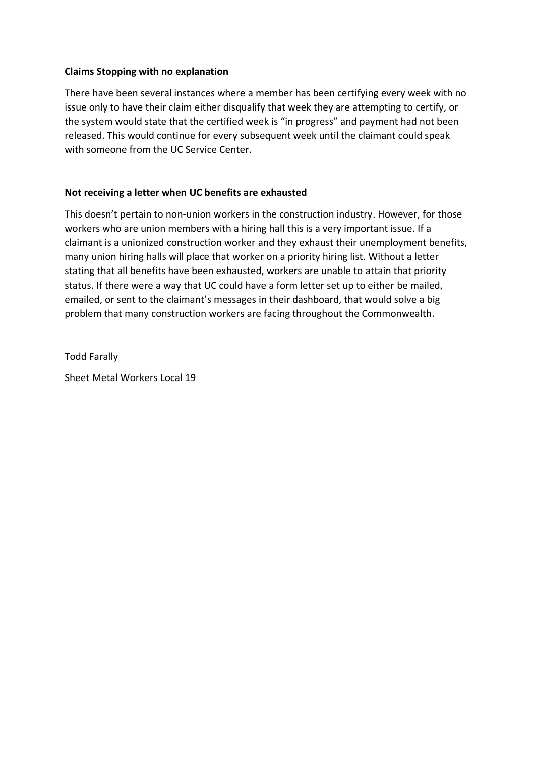#### **Claims Stopping with no explanation**

There have been several instances where a member has been certifying every week with no issue only to have their claim either disqualify that week they are attempting to certify, or the system would state that the certified week is "in progress" and payment had not been released. This would continue for every subsequent week until the claimant could speak with someone from the UC Service Center.

### **Not receiving a letter when UC benefits are exhausted**

This doesn't pertain to non-union workers in the construction industry. However, for those workers who are union members with a hiring hall this is a very important issue. If a claimant is a unionized construction worker and they exhaust their unemployment benefits, many union hiring halls will place that worker on a priority hiring list. Without a letter stating that all benefits have been exhausted, workers are unable to attain that priority status. If there were a way that UC could have a form letter set up to either be mailed, emailed, or sent to the claimant's messages in their dashboard, that would solve a big problem that many construction workers are facing throughout the Commonwealth.

Todd Farally Sheet Metal Workers Local 19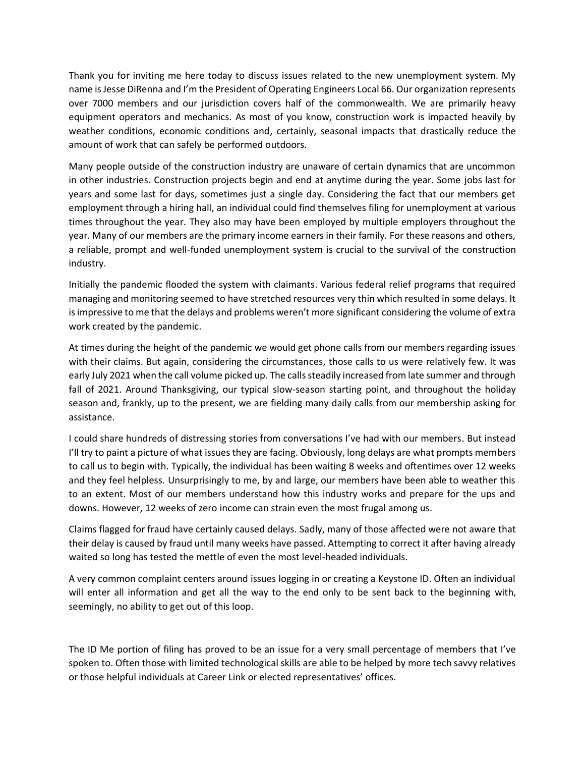Thank you for inviting me here today to discuss issues related to the new unemployment system. My name is Jesse DiRenna and I'm the President of Operating Engineers Local 66. Our organization represents over 7000 members and our jurisdiction covers half of the commonwealth. We are primarily heavy equipment operators and mechanics. As most of you know, construction work is impacted heavily by weather conditions, economic conditions and, certainly, seasonal impacts that drastically reduce the amount of work that can safely be performed outdoors.

Many people outside of the construction industry are unaware of certain dynamics that are uncommon in other industries. Construction projects begin and end at anytime during the year. Some jobs last for years and some last for days, sometimes just a single day. Considering the fact that our members get employment through a hiring hall, an individual could find themselves filing for unemployment at various times throughout the year. They also may have been employed by multiple employers throughout the year. Many of our members are the primary income earners in their family. For these reasons and others, a reliable, prompt and well-funded unemployment system is crucial to the survival of the construction industry.

Initially the pandemic flooded the system with claimants. Various federal relief programs that required managing and monitoring seemed to have stretched resources very thin which resulted in some delays. It is impressive to me that the delays and problems weren't more significant considering the volume of extra work created by the pandemic.

At times during the height of the pandemic we would get phone calls from our members regarding issues with their claims. But again, considering the circumstances, those calls to us were relatively few. It was early July 2021 when the call volume picked up. The calls steadily increased from late summer and through fall of 2021. Around Thanksgiving, our typical slow-season starting point, and throughout the holiday season and, frankly, up to the present, we are fielding many daily calls from our membership asking for assistance.

I could share hundreds of distressing stories from conversations I've had with our members. But instead I'll try to paint a picture of what issues they are facing. Obviously, long delays are what prompts members to call us to begin with. Typically, the individual has been waiting 8 weeks and oftentimes over 12 weeks and they feel helpless. Unsurprisingly to me, by and large, our members have been able to weather this to an extent. Most of our members understand how this industry works and prepare for the ups and downs. However, 12 weeks of zero income can strain even the most frugal among us.

Claims flagged for fraud have certainly caused delays. Sadly, many of those affected were not aware that their delay is caused by fraud until many weeks have passed. Attempting to correct it after having already waited so long has tested the mettle of even the most level-headed individuals.

A very common complaint centers around issues logging in or creating a Keystone ID. Often an individual will enter all information and get all the way to the end only to be sent back to the beginning with, seemingly, no ability to get out of this loop.

The ID Me portion of filing has proved to be an issue for a very small percentage of members that I've spoken to. Often those with limited technological skills are able to be helped by more tech savvy relatives or those helpful individuals at Career Link or elected representatives' offices.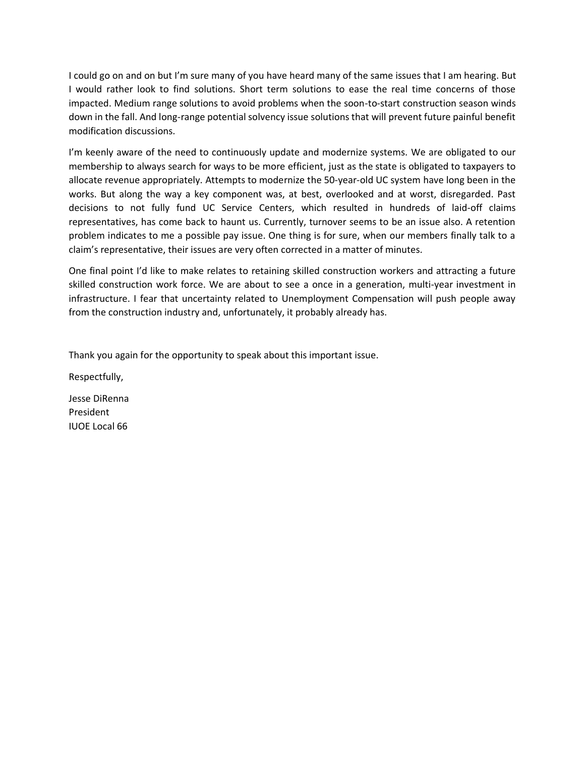I could go on and on but I'm sure many of you have heard many of the same issues that I am hearing. But I would rather look to find solutions. Short term solutions to ease the real time concerns of those impacted. Medium range solutions to avoid problems when the soon-to-start construction season winds down in the fall. And long-range potential solvency issue solutions that will prevent future painful benefit modification discussions.

I'm keenly aware of the need to continuously update and modernize systems. We are obligated to our membership to always search for ways to be more efficient, just as the state is obligated to taxpayers to allocate revenue appropriately. Attempts to modernize the 50-year-old UC system have long been in the works. But along the way a key component was, at best, overlooked and at worst, disregarded. Past decisions to not fully fund UC Service Centers, which resulted in hundreds of laid-off claims representatives, has come back to haunt us. Currently, turnover seems to be an issue also. A retention problem indicates to me a possible pay issue. One thing is for sure, when our members finally talk to a claim's representative, their issues are very often corrected in a matter of minutes.

One final point I'd like to make relates to retaining skilled construction workers and attracting a future skilled construction work force. We are about to see a once in a generation, multi-year investment in infrastructure. I fear that uncertainty related to Unemployment Compensation will push people away from the construction industry and, unfortunately, it probably already has.

Thank you again for the opportunity to speak about this important issue.

Respectfully,

Jesse DiRenna President IUOE Local 66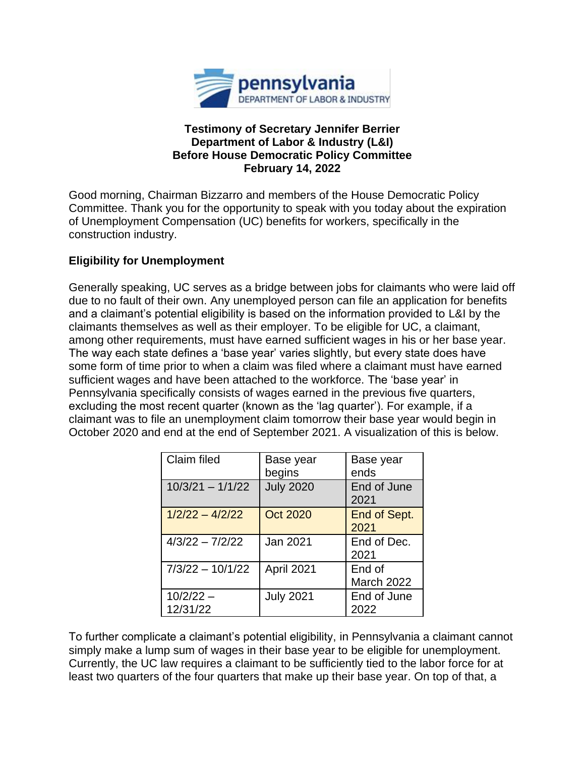

### **Testimony of Secretary Jennifer Berrier Department of Labor & Industry (L&I) Before House Democratic Policy Committee February 14, 2022**

Good morning, Chairman Bizzarro and members of the House Democratic Policy Committee. Thank you for the opportunity to speak with you today about the expiration of Unemployment Compensation (UC) benefits for workers, specifically in the construction industry.

## **Eligibility for Unemployment**

Generally speaking, UC serves as a bridge between jobs for claimants who were laid off due to no fault of their own. Any unemployed person can file an application for benefits and a claimant's potential eligibility is based on the information provided to L&I by the claimants themselves as well as their employer. To be eligible for UC, a claimant, among other requirements, must have earned sufficient wages in his or her base year. The way each state defines a 'base year' varies slightly, but every state does have some form of time prior to when a claim was filed where a claimant must have earned sufficient wages and have been attached to the workforce. The 'base year' in Pennsylvania specifically consists of wages earned in the previous five quarters, excluding the most recent quarter (known as the 'lag quarter'). For example, if a claimant was to file an unemployment claim tomorrow their base year would begin in October 2020 and end at the end of September 2021. A visualization of this is below.

| Claim filed             | Base year<br>begins | Base year<br>ends           |
|-------------------------|---------------------|-----------------------------|
| $10/3/21 - 1/1/22$      | <b>July 2020</b>    | End of June<br>2021         |
| $1/2/22 - 4/2/22$       | <b>Oct 2020</b>     | End of Sept.<br>2021        |
| $4/3/22 - 7/2/22$       | <b>Jan 2021</b>     | End of Dec.<br>2021         |
| $7/3/22 - 10/1/22$      | April 2021          | End of<br><b>March 2022</b> |
| $10/2/22 -$<br>12/31/22 | <b>July 2021</b>    | End of June<br>2022         |

To further complicate a claimant's potential eligibility, in Pennsylvania a claimant cannot simply make a lump sum of wages in their base year to be eligible for unemployment. Currently, the UC law requires a claimant to be sufficiently tied to the labor force for at least two quarters of the four quarters that make up their base year. On top of that, a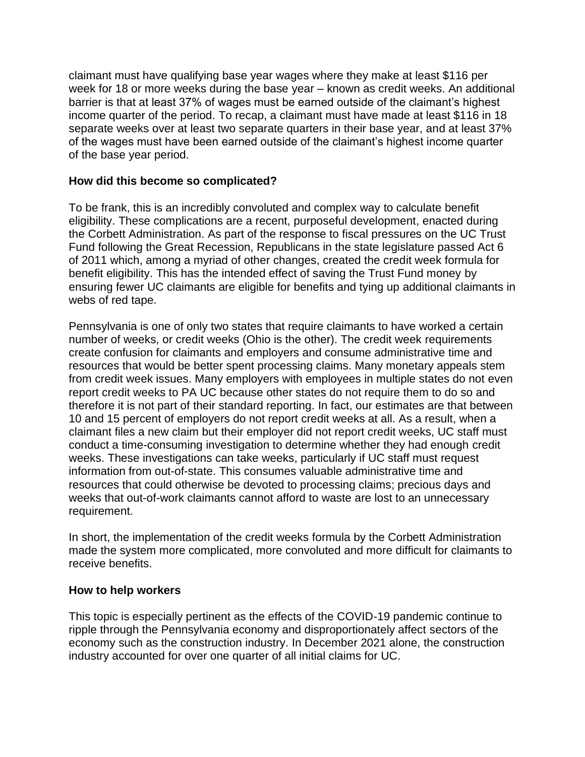claimant must have qualifying base year wages where they make at least \$116 per week for 18 or more weeks during the base year – known as credit weeks. An additional barrier is that at least 37% of wages must be earned outside of the claimant's highest income quarter of the period. To recap, a claimant must have made at least \$116 in 18 separate weeks over at least two separate quarters in their base year, and at least 37% of the wages must have been earned outside of the claimant's highest income quarter of the base year period.

### **How did this become so complicated?**

To be frank, this is an incredibly convoluted and complex way to calculate benefit eligibility. These complications are a recent, purposeful development, enacted during the Corbett Administration. As part of the response to fiscal pressures on the UC Trust Fund following the Great Recession, Republicans in the state legislature passed Act 6 of 2011 which, among a myriad of other changes, created the credit week formula for benefit eligibility. This has the intended effect of saving the Trust Fund money by ensuring fewer UC claimants are eligible for benefits and tying up additional claimants in webs of red tape.

Pennsylvania is one of only two states that require claimants to have worked a certain number of weeks, or credit weeks (Ohio is the other). The credit week requirements create confusion for claimants and employers and consume administrative time and resources that would be better spent processing claims. Many monetary appeals stem from credit week issues. Many employers with employees in multiple states do not even report credit weeks to PA UC because other states do not require them to do so and therefore it is not part of their standard reporting. In fact, our estimates are that between 10 and 15 percent of employers do not report credit weeks at all. As a result, when a claimant files a new claim but their employer did not report credit weeks, UC staff must conduct a time-consuming investigation to determine whether they had enough credit weeks. These investigations can take weeks, particularly if UC staff must request information from out-of-state. This consumes valuable administrative time and resources that could otherwise be devoted to processing claims; precious days and weeks that out-of-work claimants cannot afford to waste are lost to an unnecessary requirement.

In short, the implementation of the credit weeks formula by the Corbett Administration made the system more complicated, more convoluted and more difficult for claimants to receive benefits.

## **How to help workers**

This topic is especially pertinent as the effects of the COVID-19 pandemic continue to ripple through the Pennsylvania economy and disproportionately affect sectors of the economy such as the construction industry. In December 2021 alone, the construction industry accounted for over one quarter of all initial claims for UC.